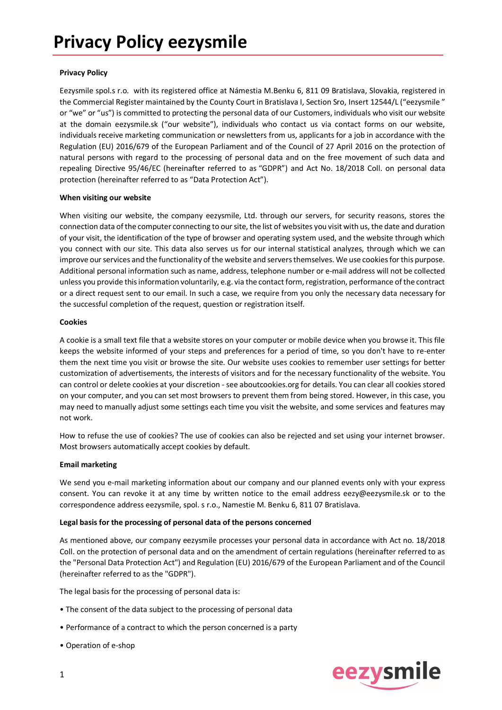## **Privacy Policy**

Eezysmile spol.s r.o. with its registered office at Námestia M.Benku 6, 811 09 Bratislava, Slovakia, registered in the Commercial Register maintained by the County Court in Bratislava I, Section Sro, Insert 12544/L ("eezysmile " or "we" or "us") is committed to protecting the personal data of our Customers, individuals who visit our website at the domain eezysmile.sk ("our website"), individuals who contact us via contact forms on our website, individuals receive marketing communication or newsletters from us, applicants for a job in accordance with the Regulation (EU) 2016/679 of the European Parliament and of the Council of 27 April 2016 on the protection of natural persons with regard to the processing of personal data and on the free movement of such data and repealing Directive 95/46/EC (hereinafter referred to as "GDPR") and Act No. 18/2018 Coll. on personal data protection (hereinafter referred to as "Data Protection Act").

### **When visiting our website**

When visiting our website, the company eezysmile, Ltd. through our servers, for security reasons, stores the connection data of the computer connecting to our site, the list of websites you visit with us, the date and duration of your visit, the identification of the type of browser and operating system used, and the website through which you connect with our site. This data also serves us for our internal statistical analyzes, through which we can improve our services and the functionality of the website and servers themselves. We use cookies for this purpose. Additional personal information such as name, address, telephone number or e-mail address will not be collected unless you provide this information voluntarily, e.g. via the contact form, registration, performance of the contract or a direct request sent to our email. In such a case, we require from you only the necessary data necessary for the successful completion of the request, question or registration itself.

#### **Cookies**

A cookie is a small text file that a website stores on your computer or mobile device when you browse it. This file keeps the website informed of your steps and preferences for a period of time, so you don't have to re-enter them the next time you visit or browse the site. Our website uses cookies to remember user settings for better customization of advertisements, the interests of visitors and for the necessary functionality of the website. You can control or delete cookies at your discretion - see aboutcookies.org for details. You can clear all cookies stored on your computer, and you can set most browsers to prevent them from being stored. However, in this case, you may need to manually adjust some settings each time you visit the website, and some services and features may not work.

How to refuse the use of cookies? The use of cookies can also be rejected and set using your internet browser. Most browsers automatically accept cookies by default.

### **Email marketing**

We send you e-mail marketing information about our company and our planned events only with your express consent. You can revoke it at any time by written notice to the email address eezy@eezysmile.sk or to the correspondence address eezysmile, spol. s r.o., Namestie M. Benku 6, 811 07 Bratislava.

### **Legal basis for the processing of personal data of the persons concerned**

As mentioned above, our company eezysmile processes your personal data in accordance with Act no. 18/2018 Coll. on the protection of personal data and on the amendment of certain regulations (hereinafter referred to as the "Personal Data Protection Act") and Regulation (EU) 2016/679 of the European Parliament and of the Council (hereinafter referred to as the "GDPR").

The legal basis for the processing of personal data is:

- The consent of the data subject to the processing of personal data
- Performance of a contract to which the person concerned is a party
- Operation of e-shop

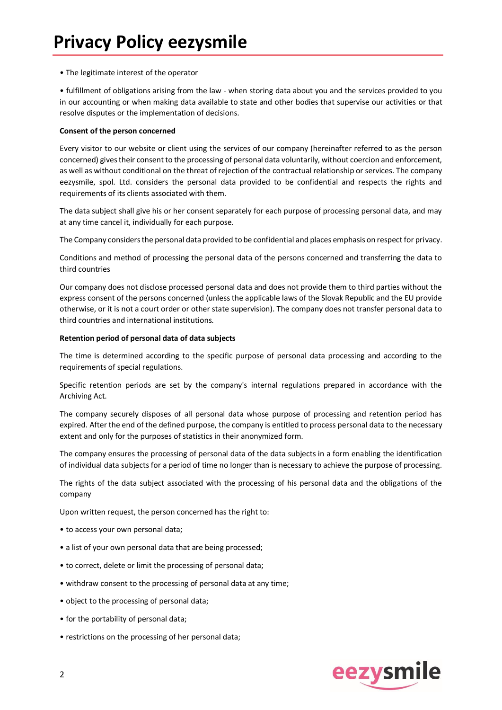• The legitimate interest of the operator

• fulfillment of obligations arising from the law - when storing data about you and the services provided to you in our accounting or when making data available to state and other bodies that supervise our activities or that resolve disputes or the implementation of decisions.

#### **Consent of the person concerned**

Every visitor to our website or client using the services of our company (hereinafter referred to as the person concerned) gives their consent to the processing of personal data voluntarily, without coercion and enforcement, as well as without conditional on the threat of rejection of the contractual relationship or services. The company eezysmile, spol. Ltd. considers the personal data provided to be confidential and respects the rights and requirements of its clients associated with them.

The data subject shall give his or her consent separately for each purpose of processing personal data, and may at any time cancel it, individually for each purpose.

The Company considers the personal data provided to be confidential and places emphasis on respect for privacy.

Conditions and method of processing the personal data of the persons concerned and transferring the data to third countries

Our company does not disclose processed personal data and does not provide them to third parties without the express consent of the persons concerned (unless the applicable laws of the Slovak Republic and the EU provide otherwise, or it is not a court order or other state supervision). The company does not transfer personal data to third countries and international institutions.

### **Retention period of personal data of data subjects**

The time is determined according to the specific purpose of personal data processing and according to the requirements of special regulations.

Specific retention periods are set by the company's internal regulations prepared in accordance with the Archiving Act.

The company securely disposes of all personal data whose purpose of processing and retention period has expired. After the end of the defined purpose, the company is entitled to process personal data to the necessary extent and only for the purposes of statistics in their anonymized form.

The company ensures the processing of personal data of the data subjects in a form enabling the identification of individual data subjects for a period of time no longer than is necessary to achieve the purpose of processing.

The rights of the data subject associated with the processing of his personal data and the obligations of the company

Upon written request, the person concerned has the right to:

- to access your own personal data;
- a list of your own personal data that are being processed;
- to correct, delete or limit the processing of personal data;
- withdraw consent to the processing of personal data at any time;
- object to the processing of personal data;
- for the portability of personal data;
- restrictions on the processing of her personal data;